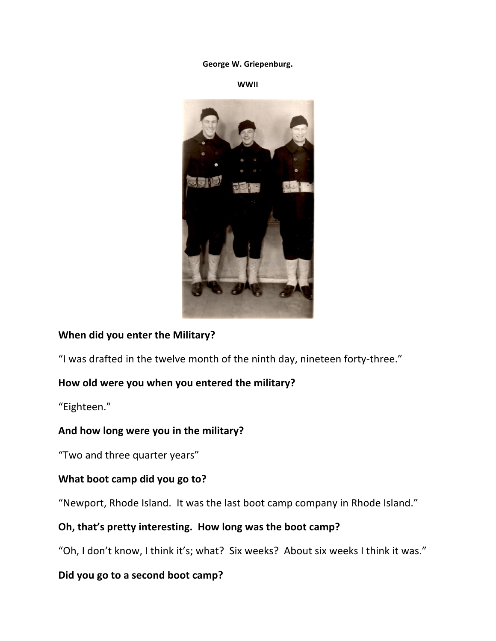#### George W. Griepenburg.

**WWII**



#### **When did you enter the Military?**

"I was drafted in the twelve month of the ninth day, nineteen forty-three."

#### How old were you when you entered the military?

"Eighteen."

#### And how long were you in the military?

"Two and three quarter years"

#### **What boot camp did you go to?**

"Newport, Rhode Island. It was the last boot camp company in Rhode Island."

#### Oh, that's pretty interesting. How long was the boot camp?

"Oh, I don't know, I think it's; what? Six weeks? About six weeks I think it was."

#### Did you go to a second boot camp?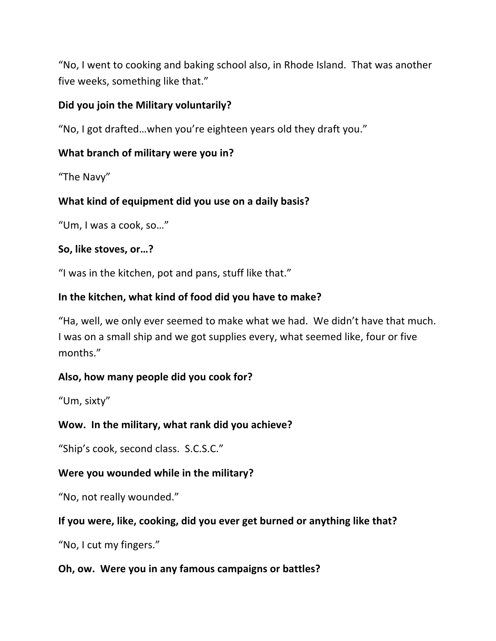"No, I went to cooking and baking school also, in Rhode Island. That was another five weeks, something like that."

### **Did you join the Military voluntarily?**

"No, I got drafted...when you're eighteen years old they draft you."

## **What branch of military were you in?**

"The Navy"

## What kind of equipment did you use on a daily basis?

"Um, I was a cook, so..."

### So, like stoves, or...?

"I was in the kitchen, pot and pans, stuff like that."

## In the kitchen, what kind of food did you have to make?

"Ha, well, we only ever seemed to make what we had. We didn't have that much. I was on a small ship and we got supplies every, what seemed like, four or five months."

### Also, how many people did you cook for?

"Um, sixty"

## Wow. In the military, what rank did you achieve?

"Ship's cook, second class. S.C.S.C."

## **Were you wounded while in the military?**

"No, not really wounded."

## If you were, like, cooking, did you ever get burned or anything like that?

"No, I cut my fingers."

### **Oh, ow. Were you in any famous campaigns or battles?**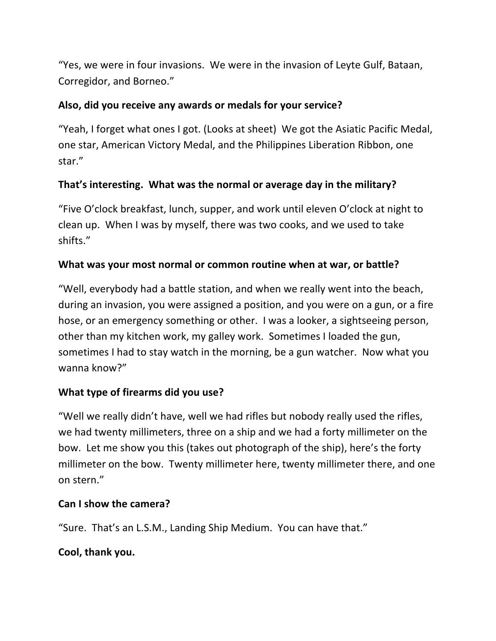"Yes, we were in four invasions. We were in the invasion of Leyte Gulf, Bataan, Corregidor, and Borneo."

### Also, did you receive any awards or medals for your service?

"Yeah, I forget what ones I got. (Looks at sheet) We got the Asiatic Pacific Medal, one star, American Victory Medal, and the Philippines Liberation Ribbon, one star."

## That's interesting. What was the normal or average day in the military?

"Five O'clock breakfast, lunch, supper, and work until eleven O'clock at night to clean up. When I was by myself, there was two cooks, and we used to take shifts."

#### What was your most normal or common routine when at war, or battle?

"Well, everybody had a battle station, and when we really went into the beach, during an invasion, you were assigned a position, and you were on a gun, or a fire hose, or an emergency something or other. I was a looker, a sightseeing person, other than my kitchen work, my galley work. Sometimes I loaded the gun, sometimes I had to stay watch in the morning, be a gun watcher. Now what you wanna know?"

### **What type of firearms did you use?**

"Well we really didn't have, well we had rifles but nobody really used the rifles, we had twenty millimeters, three on a ship and we had a forty millimeter on the bow. Let me show you this (takes out photograph of the ship), here's the forty millimeter on the bow. Twenty millimeter here, twenty millimeter there, and one on stern."

### **Can I show the camera?**

"Sure. That's an L.S.M., Landing Ship Medium. You can have that."

#### **Cool, thank you.**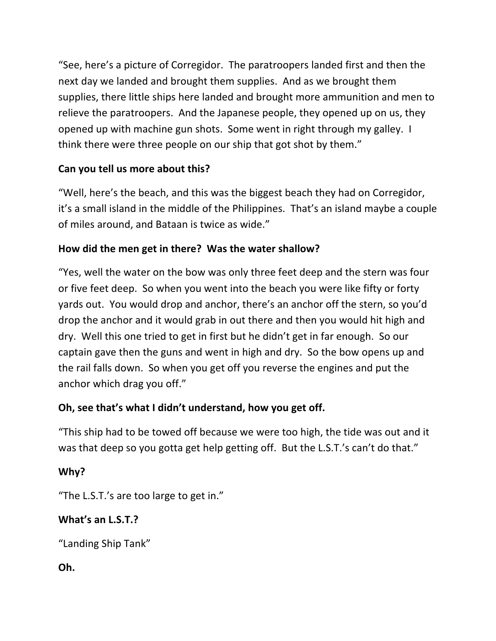"See, here's a picture of Corregidor. The paratroopers landed first and then the next day we landed and brought them supplies. And as we brought them supplies, there little ships here landed and brought more ammunition and men to relieve the paratroopers. And the Japanese people, they opened up on us, they opened up with machine gun shots. Some went in right through my galley. I think there were three people on our ship that got shot by them."

## Can you tell us more about this?

"Well, here's the beach, and this was the biggest beach they had on Corregidor, it's a small island in the middle of the Philippines. That's an island maybe a couple of miles around, and Bataan is twice as wide."

## How did the men get in there? Was the water shallow?

"Yes, well the water on the bow was only three feet deep and the stern was four or five feet deep. So when you went into the beach you were like fifty or forty yards out. You would drop and anchor, there's an anchor off the stern, so you'd drop the anchor and it would grab in out there and then you would hit high and dry. Well this one tried to get in first but he didn't get in far enough. So our captain gave then the guns and went in high and dry. So the bow opens up and the rail falls down. So when you get off you reverse the engines and put the anchor which drag you off."

## **Oh, see that's what I didn't understand, how you get off.**

"This ship had to be towed off because we were too high, the tide was out and it was that deep so you gotta get help getting off. But the L.S.T.'s can't do that."

## **Why?**

"The L.S.T.'s are too large to get in."

## What's an L.S.T.?

"Landing Ship Tank"

## **Oh.**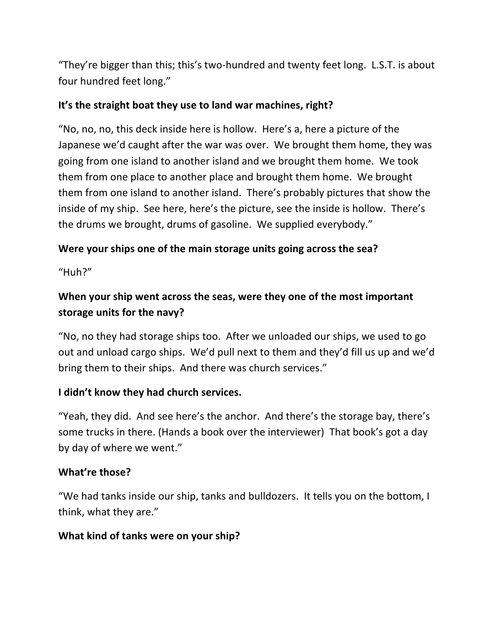"They're bigger than this; this's two-hundred and twenty feet long. L.S.T. is about four hundred feet long."

## It's the straight boat they use to land war machines, right?

"No, no, no, this deck inside here is hollow. Here's a, here a picture of the Japanese we'd caught after the war was over. We brought them home, they was going from one island to another island and we brought them home. We took them from one place to another place and brought them home. We brought them from one island to another island. There's probably pictures that show the inside of my ship. See here, here's the picture, see the inside is hollow. There's the drums we brought, drums of gasoline. We supplied everybody."

## Were your ships one of the main storage units going across the sea?

"Huh?"

# When your ship went across the seas, were they one of the most important storage units for the navy?

"No, no they had storage ships too. After we unloaded our ships, we used to go out and unload cargo ships. We'd pull next to them and they'd fill us up and we'd bring them to their ships. And there was church services."

### **I didn't know they had church services.**

"Yeah, they did. And see here's the anchor. And there's the storage bay, there's some trucks in there. (Hands a book over the interviewer) That book's got a day by day of where we went."

### **What're those?**

"We had tanks inside our ship, tanks and bulldozers. It tells you on the bottom, I think, what they are."

### **What kind of tanks were on your ship?**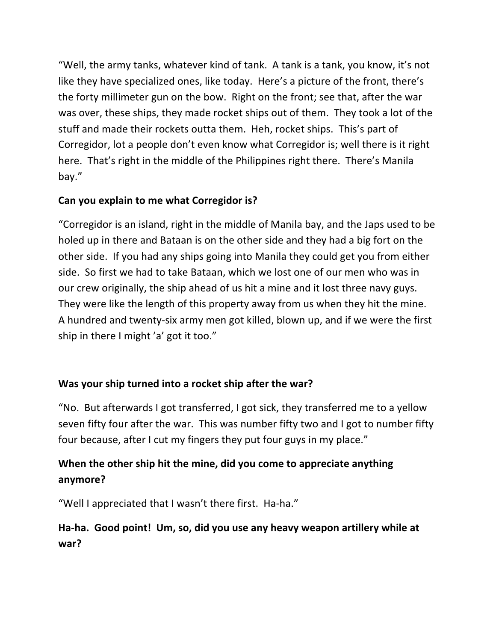"Well, the army tanks, whatever kind of tank. A tank is a tank, you know, it's not like they have specialized ones, like today. Here's a picture of the front, there's the forty millimeter gun on the bow. Right on the front; see that, after the war was over, these ships, they made rocket ships out of them. They took a lot of the stuff and made their rockets outta them. Heh, rocket ships. This's part of Corregidor, lot a people don't even know what Corregidor is; well there is it right here. That's right in the middle of the Philippines right there. There's Manila bay."

## Can you explain to me what Corregidor is?

"Corregidor is an island, right in the middle of Manila bay, and the Japs used to be holed up in there and Bataan is on the other side and they had a big fort on the other side. If you had any ships going into Manila they could get you from either side. So first we had to take Bataan, which we lost one of our men who was in our crew originally, the ship ahead of us hit a mine and it lost three navy guys. They were like the length of this property away from us when they hit the mine. A hundred and twenty-six army men got killed, blown up, and if we were the first ship in there I might 'a' got it too."

## Was your ship turned into a rocket ship after the war?

"No. But afterwards I got transferred, I got sick, they transferred me to a yellow seven fifty four after the war. This was number fifty two and I got to number fifty four because, after I cut my fingers they put four guys in my place."

## When the other ship hit the mine, did you come to appreciate anything **anymore?**

"Well I appreciated that I wasn't there first. Ha-ha."

## Ha-ha. Good point! Um, so, did you use any heavy weapon artillery while at **war?**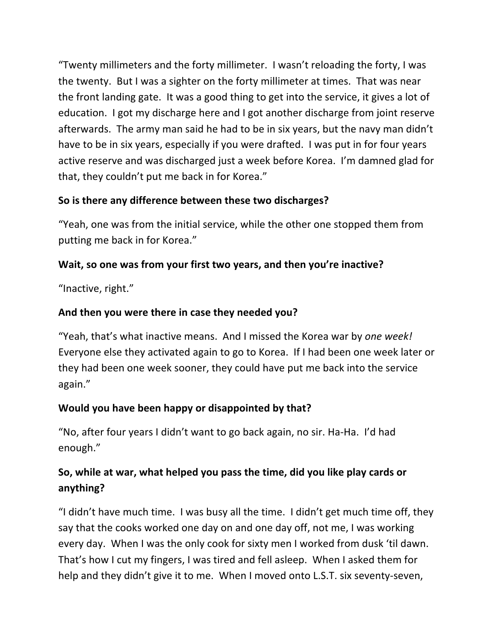"Twenty millimeters and the forty millimeter. I wasn't reloading the forty, I was the twenty. But I was a sighter on the forty millimeter at times. That was near the front landing gate. It was a good thing to get into the service, it gives a lot of education. I got my discharge here and I got another discharge from joint reserve afterwards. The army man said he had to be in six years, but the navy man didn't have to be in six years, especially if you were drafted. I was put in for four years active reserve and was discharged just a week before Korea. I'm damned glad for that, they couldn't put me back in for Korea."

## So is there any difference between these two discharges?

"Yeah, one was from the initial service, while the other one stopped them from putting me back in for Korea."

## Wait, so one was from your first two years, and then you're inactive?

"Inactive, right."

## And then you were there in case they needed you?

"Yeah, that's what inactive means. And I missed the Korea war by one week! Everyone else they activated again to go to Korea. If I had been one week later or they had been one week sooner, they could have put me back into the service again."

## Would you have been happy or disappointed by that?

"No, after four years I didn't want to go back again, no sir. Ha-Ha. I'd had enough."

## So, while at war, what helped you pass the time, did you like play cards or **anything?**

"I didn't have much time. I was busy all the time. I didn't get much time off, they say that the cooks worked one day on and one day off, not me, I was working every day. When I was the only cook for sixty men I worked from dusk 'til dawn. That's how I cut my fingers, I was tired and fell asleep. When I asked them for help and they didn't give it to me. When I moved onto L.S.T. six seventy-seven,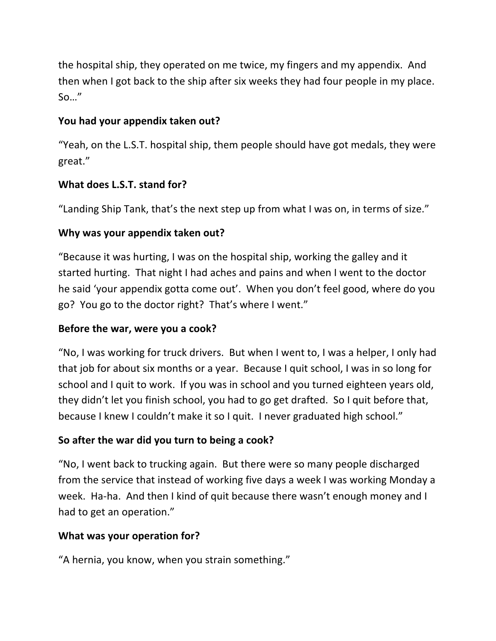the hospital ship, they operated on me twice, my fingers and my appendix. And then when I got back to the ship after six weeks they had four people in my place. So…"

## You had your appendix taken out?

"Yeah, on the L.S.T. hospital ship, them people should have got medals, they were great."

## **What does L.S.T. stand for?**

"Landing Ship Tank, that's the next step up from what I was on, in terms of size."

### Why was your appendix taken out?

"Because it was hurting, I was on the hospital ship, working the galley and it started hurting. That night I had aches and pains and when I went to the doctor he said 'your appendix gotta come out'. When you don't feel good, where do you go? You go to the doctor right? That's where I went."

### Before the war, were you a cook?

"No, I was working for truck drivers. But when I went to, I was a helper, I only had that job for about six months or a year. Because I quit school, I was in so long for school and I quit to work. If you was in school and you turned eighteen years old, they didn't let you finish school, you had to go get drafted. So I quit before that, because I knew I couldn't make it so I quit. I never graduated high school."

## So after the war did you turn to being a cook?

"No, I went back to trucking again. But there were so many people discharged from the service that instead of working five days a week I was working Monday a week. Ha-ha. And then I kind of quit because there wasn't enough money and I had to get an operation."

### **What was your operation for?**

"A hernia, you know, when you strain something."